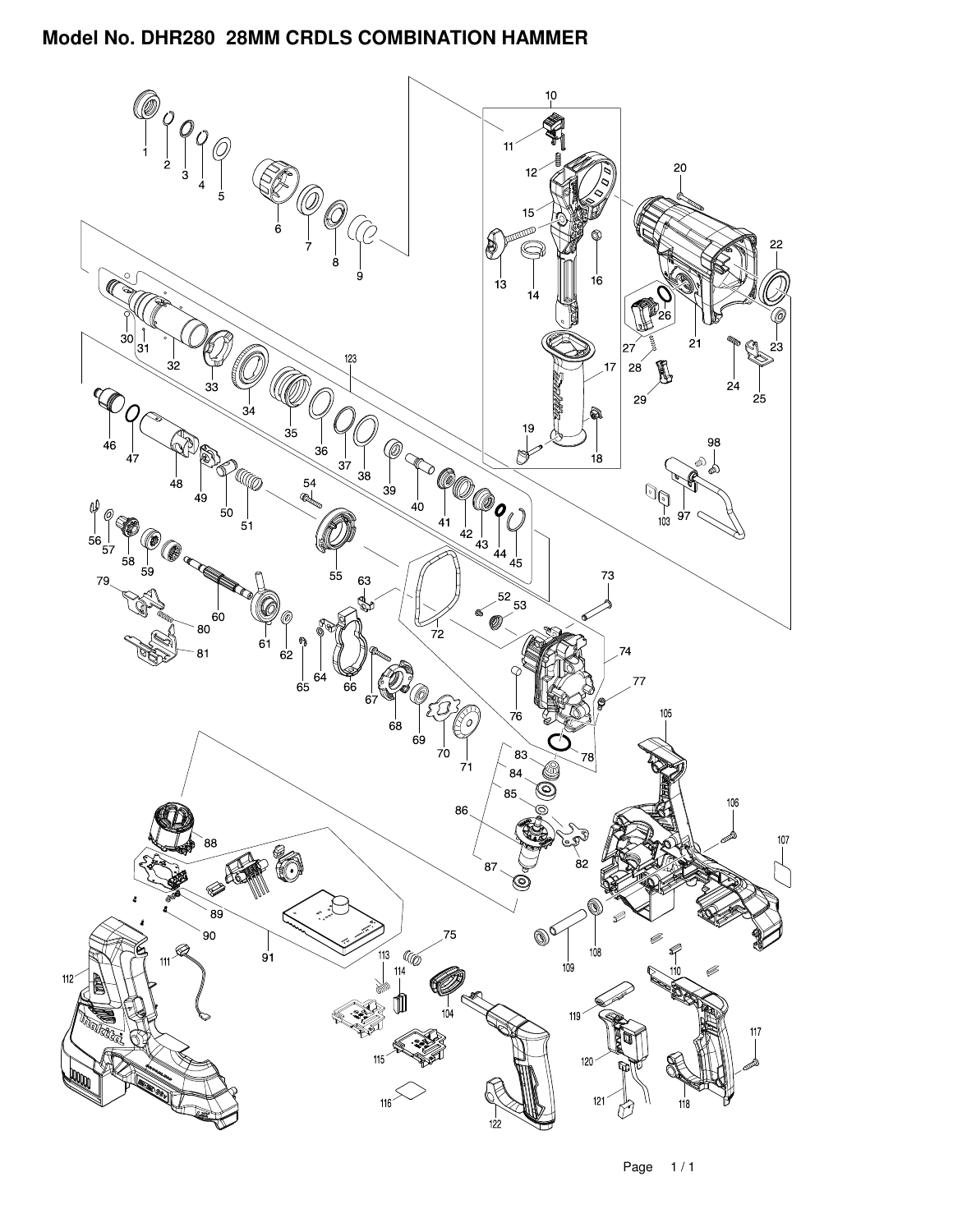

Page 1 / 1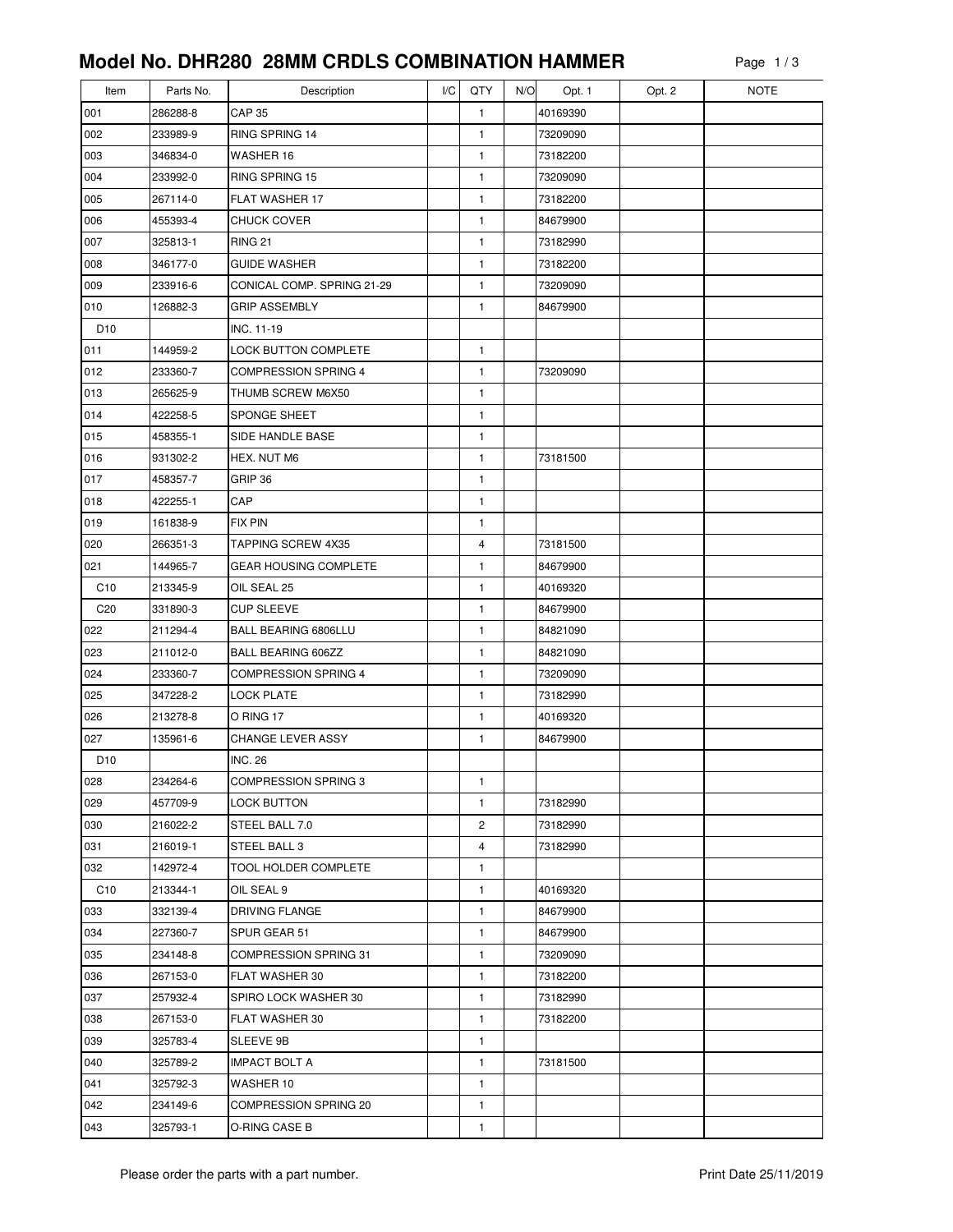| Item            | Parts No. | Description                  | I/C | QTY            | N/O | Opt. 1   | Opt. 2 | <b>NOTE</b> |
|-----------------|-----------|------------------------------|-----|----------------|-----|----------|--------|-------------|
| 001             | 286288-8  | <b>CAP 35</b>                |     | 1              |     | 40169390 |        |             |
| 002             | 233989-9  | RING SPRING 14               |     | 1              |     | 73209090 |        |             |
| 003             | 346834-0  | WASHER 16                    |     | 1              |     | 73182200 |        |             |
| 004             | 233992-0  | <b>RING SPRING 15</b>        |     | $\mathbf{1}$   |     | 73209090 |        |             |
| 005             | 267114-0  | FLAT WASHER 17               |     | 1              |     | 73182200 |        |             |
| 006             | 455393-4  | <b>CHUCK COVER</b>           |     | 1              |     | 84679900 |        |             |
| 007             | 325813-1  | <b>RING 21</b>               |     | $\mathbf{1}$   |     | 73182990 |        |             |
| 008             | 346177-0  | <b>GUIDE WASHER</b>          |     | 1              |     | 73182200 |        |             |
| 009             | 233916-6  | CONICAL COMP. SPRING 21-29   |     | 1              |     | 73209090 |        |             |
| 010             | 126882-3  | <b>GRIP ASSEMBLY</b>         |     | 1              |     | 84679900 |        |             |
| D <sub>10</sub> |           | INC. 11-19                   |     |                |     |          |        |             |
| 011             | 144959-2  | <b>LOCK BUTTON COMPLETE</b>  |     | $\mathbf{1}$   |     |          |        |             |
| 012             | 233360-7  | COMPRESSION SPRING 4         |     | $\mathbf{1}$   |     | 73209090 |        |             |
| 013             | 265625-9  | THUMB SCREW M6X50            |     | 1              |     |          |        |             |
| 014             | 422258-5  | SPONGE SHEET                 |     | 1              |     |          |        |             |
| 015             | 458355-1  | SIDE HANDLE BASE             |     | 1              |     |          |        |             |
| 016             | 931302-2  | HEX. NUT M6                  |     | 1              |     | 73181500 |        |             |
| 017             | 458357-7  | GRIP 36                      |     | 1              |     |          |        |             |
| 018             | 422255-1  | CAP                          |     | 1              |     |          |        |             |
| 019             | 161838-9  | <b>FIX PIN</b>               |     | $\mathbf{1}$   |     |          |        |             |
| 020             | 266351-3  | <b>TAPPING SCREW 4X35</b>    |     | 4              |     | 73181500 |        |             |
| 021             | 144965-7  | <b>GEAR HOUSING COMPLETE</b> |     | 1              |     | 84679900 |        |             |
| C <sub>10</sub> | 213345-9  | OIL SEAL 25                  |     | 1              |     | 40169320 |        |             |
| C <sub>20</sub> | 331890-3  | <b>CUP SLEEVE</b>            |     | 1              |     | 84679900 |        |             |
| 022             | 211294-4  | BALL BEARING 6806LLU         |     | 1              |     | 84821090 |        |             |
| 023             | 211012-0  | BALL BEARING 606ZZ           |     | 1              |     | 84821090 |        |             |
| 024             | 233360-7  | <b>COMPRESSION SPRING 4</b>  |     | 1              |     | 73209090 |        |             |
| 025             | 347228-2  | <b>LOCK PLATE</b>            |     | $\mathbf{1}$   |     | 73182990 |        |             |
| 026             | 213278-8  | O RING 17                    |     | $\mathbf{1}$   |     | 40169320 |        |             |
| 027             | 135961-6  | CHANGE LEVER ASSY            |     | 1              |     | 84679900 |        |             |
| D <sub>10</sub> |           | <b>INC. 26</b>               |     |                |     |          |        |             |
| 028             | 234264-6  | COMPRESSION SPRING 3         |     | 1              |     |          |        |             |
| 029             | 457709-9  | LOCK BUTTON                  |     | 1              |     | 73182990 |        |             |
| 030             | 216022-2  | STEEL BALL 7.0               |     | $\overline{c}$ |     | 73182990 |        |             |
| 031             | 216019-1  | STEEL BALL 3                 |     | 4              |     | 73182990 |        |             |
| 032             | 142972-4  | TOOL HOLDER COMPLETE         |     | 1              |     |          |        |             |
| C <sub>10</sub> | 213344-1  | OIL SEAL 9                   |     | 1              |     | 40169320 |        |             |
| 033             | 332139-4  | DRIVING FLANGE               |     | 1              |     | 84679900 |        |             |
| 034             | 227360-7  | SPUR GEAR 51                 |     | 1              |     | 84679900 |        |             |
| 035             | 234148-8  | <b>COMPRESSION SPRING 31</b> |     | 1              |     | 73209090 |        |             |
| 036             | 267153-0  | FLAT WASHER 30               |     | 1              |     | 73182200 |        |             |
| 037             | 257932-4  | SPIRO LOCK WASHER 30         |     | 1              |     | 73182990 |        |             |
| 038             | 267153-0  | FLAT WASHER 30               |     | 1              |     | 73182200 |        |             |
| 039             | 325783-4  | SLEEVE 9B                    |     | 1              |     |          |        |             |
| 040             | 325789-2  | <b>IMPACT BOLT A</b>         |     | 1              |     | 73181500 |        |             |
| 041             | 325792-3  | WASHER 10                    |     | 1              |     |          |        |             |
| 042             | 234149-6  | COMPRESSION SPRING 20        |     | 1              |     |          |        |             |
| 043             | 325793-1  | O-RING CASE B                |     | 1              |     |          |        |             |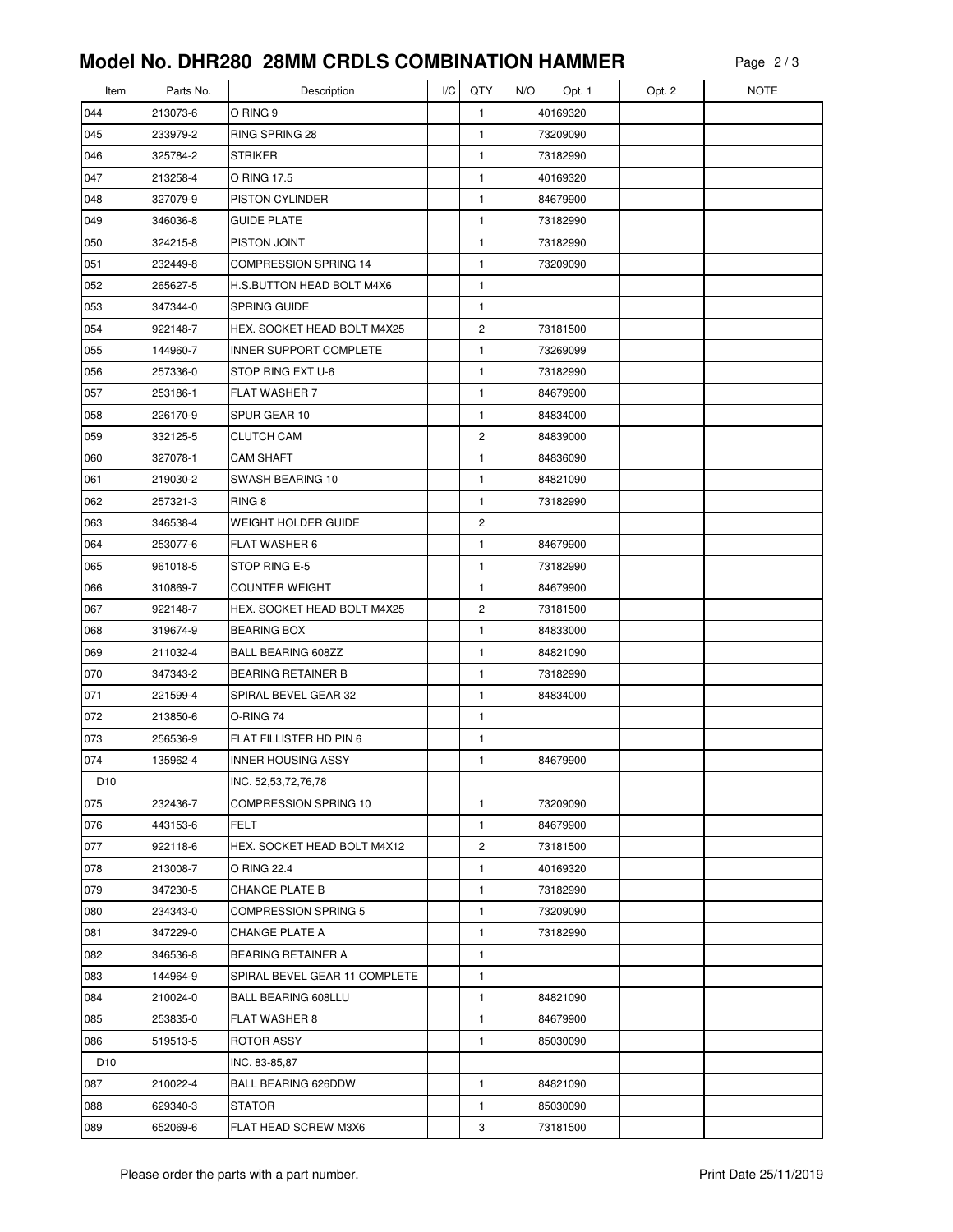| Item            | Parts No. | Description                   | I/C | QTY            | N/O | Opt. 1   | Opt. 2 | <b>NOTE</b> |
|-----------------|-----------|-------------------------------|-----|----------------|-----|----------|--------|-------------|
| 044             | 213073-6  | O RING 9                      |     | 1              |     | 40169320 |        |             |
| 045             | 233979-2  | RING SPRING 28                |     | 1              |     | 73209090 |        |             |
| 046             | 325784-2  | <b>STRIKER</b>                |     | 1              |     | 73182990 |        |             |
| 047             | 213258-4  | O RING 17.5                   |     | $\mathbf{1}$   |     | 40169320 |        |             |
| 048             | 327079-9  | PISTON CYLINDER               |     | 1              |     | 84679900 |        |             |
| 049             | 346036-8  | <b>GUIDE PLATE</b>            |     | 1              |     | 73182990 |        |             |
| 050             | 324215-8  | PISTON JOINT                  |     | $\mathbf{1}$   |     | 73182990 |        |             |
| 051             | 232449-8  | COMPRESSION SPRING 14         |     | 1              |     | 73209090 |        |             |
| 052             | 265627-5  | H.S. BUTTON HEAD BOLT M4X6    |     | 1              |     |          |        |             |
| 053             | 347344-0  | <b>SPRING GUIDE</b>           |     | 1              |     |          |        |             |
| 054             | 922148-7  | HEX. SOCKET HEAD BOLT M4X25   |     | $\overline{c}$ |     | 73181500 |        |             |
| 055             | 144960-7  | INNER SUPPORT COMPLETE        |     | 1              |     | 73269099 |        |             |
| 056             | 257336-0  | STOP RING EXT U-6             |     | 1              |     | 73182990 |        |             |
| 057             | 253186-1  | <b>FLAT WASHER 7</b>          |     | 1              |     | 84679900 |        |             |
| 058             | 226170-9  | SPUR GEAR 10                  |     | 1              |     | 84834000 |        |             |
| 059             | 332125-5  | <b>CLUTCH CAM</b>             |     | $\overline{c}$ |     | 84839000 |        |             |
| 060             | 327078-1  | <b>CAM SHAFT</b>              |     | 1              |     | 84836090 |        |             |
| 061             | 219030-2  | SWASH BEARING 10              |     | 1              |     | 84821090 |        |             |
| 062             | 257321-3  | RING <sub>8</sub>             |     | 1              |     | 73182990 |        |             |
| 063             | 346538-4  | <b>WEIGHT HOLDER GUIDE</b>    |     | $\overline{c}$ |     |          |        |             |
| 064             | 253077-6  | <b>FLAT WASHER 6</b>          |     | 1              |     | 84679900 |        |             |
| 065             | 961018-5  | STOP RING E-5                 |     | 1              |     | 73182990 |        |             |
| 066             | 310869-7  | <b>COUNTER WEIGHT</b>         |     | 1              |     | 84679900 |        |             |
| 067             | 922148-7  | HEX. SOCKET HEAD BOLT M4X25   |     | $\overline{c}$ |     | 73181500 |        |             |
| 068             | 319674-9  | <b>BEARING BOX</b>            |     | 1              |     | 84833000 |        |             |
| 069             | 211032-4  | BALL BEARING 608ZZ            |     | 1              |     | 84821090 |        |             |
| 070             | 347343-2  | <b>BEARING RETAINER B</b>     |     | 1              |     | 73182990 |        |             |
| 071             | 221599-4  | SPIRAL BEVEL GEAR 32          |     | 1              |     | 84834000 |        |             |
| 072             | 213850-6  | O-RING 74                     |     | 1              |     |          |        |             |
| 073             | 256536-9  | FLAT FILLISTER HD PIN 6       |     | 1              |     |          |        |             |
| 074             | 135962-4  | <b>INNER HOUSING ASSY</b>     |     | 1              |     | 84679900 |        |             |
| D <sub>10</sub> |           | INC. 52,53,72,76,78           |     |                |     |          |        |             |
| 075             | 232436-7  | <b>COMPRESSION SPRING 10</b>  |     | 1              |     | 73209090 |        |             |
| 076             | 443153-6  | FELT                          |     | 1              |     | 84679900 |        |             |
| 077             | 922118-6  | HEX. SOCKET HEAD BOLT M4X12   |     | 2              |     | 73181500 |        |             |
| 078             | 213008-7  | O RING 22.4                   |     | 1              |     | 40169320 |        |             |
| 079             | 347230-5  | <b>CHANGE PLATE B</b>         |     | 1              |     | 73182990 |        |             |
| 080             | 234343-0  | <b>COMPRESSION SPRING 5</b>   |     | 1              |     | 73209090 |        |             |
| 081             | 347229-0  | <b>CHANGE PLATE A</b>         |     | 1              |     | 73182990 |        |             |
| 082             | 346536-8  | <b>BEARING RETAINER A</b>     |     | 1              |     |          |        |             |
| 083             | 144964-9  | SPIRAL BEVEL GEAR 11 COMPLETE |     | 1              |     |          |        |             |
| 084             | 210024-0  | <b>BALL BEARING 608LLU</b>    |     | 1              |     | 84821090 |        |             |
| 085             | 253835-0  | <b>FLAT WASHER 8</b>          |     | 1              |     | 84679900 |        |             |
| 086             | 519513-5  | ROTOR ASSY                    |     | 1              |     | 85030090 |        |             |
| D <sub>10</sub> |           | INC. 83-85,87                 |     |                |     |          |        |             |
| 087             | 210022-4  | <b>BALL BEARING 626DDW</b>    |     | 1              |     | 84821090 |        |             |
| 088             | 629340-3  | <b>STATOR</b>                 |     | 1              |     | 85030090 |        |             |
| 089             | 652069-6  | FLAT HEAD SCREW M3X6          |     | 3              |     | 73181500 |        |             |